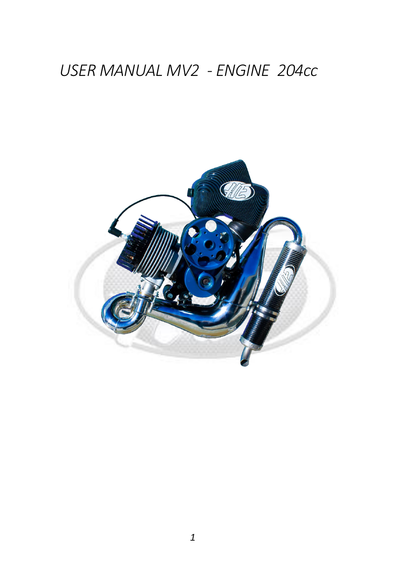# USER MANUAL MV2 - ENGINE 204cc

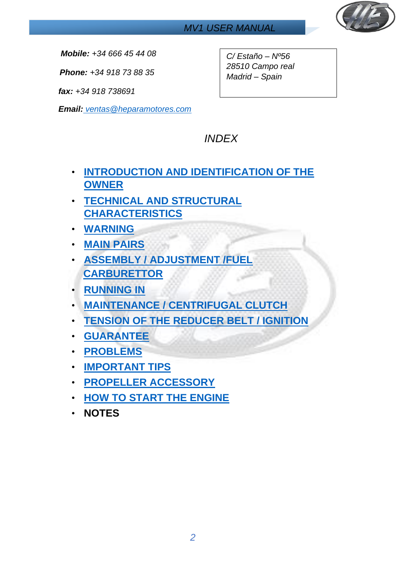

*Mobile: +34 666 45 44 08* 

*Phone: +34 918 73 88 35*

*fax: +34 918 738691* 

*Email: ventas@heparamotores.com*

*C/ Estaño – Nº56 28510 Campo real Madrid – Spain* 

## *INDEX*

- **[INTRODUCTION AND IDENTIFICATION OF THE](#page-2-0)  [OWNER](#page-2-0)**
- **[TECHNICAL AND STRUCTURAL](#page-4-0)  [CHARACTERISTICS](#page-4-0)**
- **[WARNING](#page-2-1)**
- **[MAIN PAIRS](#page-5-0)**
- **[ASSEMBLY / ADJUSTMENT /FUEL](#page-5-1)  [CARBURETTOR](#page-5-1)**
- **[RUNNING IN](#page-8-0)**
- **[MAINTENANCE / CENTRIFUGAL CLUTCH](#page-9-0)**
- **[TENSION OF THE REDUCER BELT / IGNITION](#page-10-0)**
- **[GUARANTEE](#page-11-0)**
- **[PROBLEMS](#page-13-0)**
- **[IMPORTANT TIPS](#page-14-0)**
- **[PROPELLER ACCESSORY](#page-15-0)**
- **[HOW TO START THE](#page-16-0) ENGINE**
- **NOTES**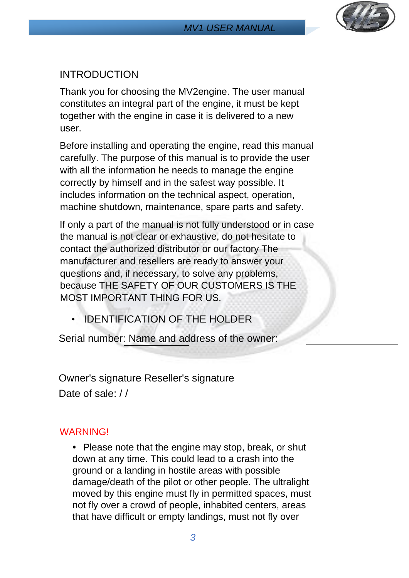

#### <span id="page-2-0"></span>INTRODUCTION

Thank you for choosing the MV2engine. The user manual constitutes an integral part of the engine, it must be kept together with the engine in case it is delivered to a new user.

Before installing and operating the engine, read this manual carefully. The purpose of this manual is to provide the user with all the information he needs to manage the engine correctly by himself and in the safest way possible. It includes information on the technical aspect, operation, machine shutdown, maintenance, spare parts and safety.

If only a part of the manual is not fully understood or in case the manual is not clear or exhaustive, do not hesitate to contact the authorized distributor or our factory The manufacturer and resellers are ready to answer your questions and, if necessary, to solve any problems, because THE SAFETY OF OUR CUSTOMERS IS THE MOST IMPORTANT THING FOR US.

• IDENTIFICATION OF THE HOLDER

Serial number: Name and address of the owner:

Owner's signature Reseller's signature Date of sale: //

#### <span id="page-2-1"></span>**WARNING!**

*•* Please note that the engine may stop, break, or shut down at any time. This could lead to a crash into the ground or a landing in hostile areas with possible damage/death of the pilot or other people. The ultralight moved by this engine must fly in permitted spaces, must not fly over a crowd of people, inhabited centers, areas that have difficult or empty landings, must not fly over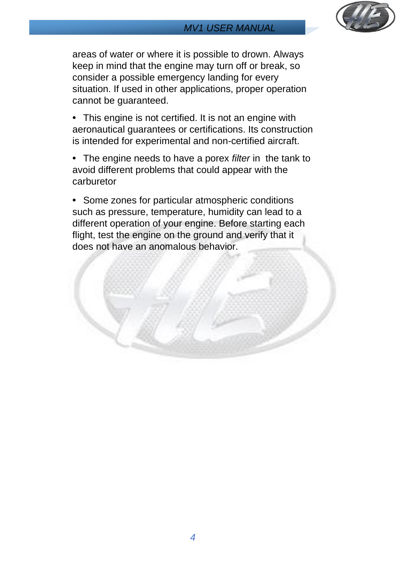

areas of water or where it is possible to drown. Always keep in mind that the engine may turn off or break, so consider a possible emergency landing for every situation. If used in other applications, proper operation cannot be guaranteed.

*•* This engine is not certified. It is not an engine with aeronautical guarantees or certifications. Its construction is intended for experimental and non-certified aircraft.

*•* The engine needs to have a porex *filter* in the tank to avoid different problems that could appear with the carburetor

*•* Some zones for particular atmospheric conditions such as pressure, temperature, humidity can lead to a different operation of your engine. Before starting each flight, test the engine on the ground and verify that it does not have an anomalous behavior.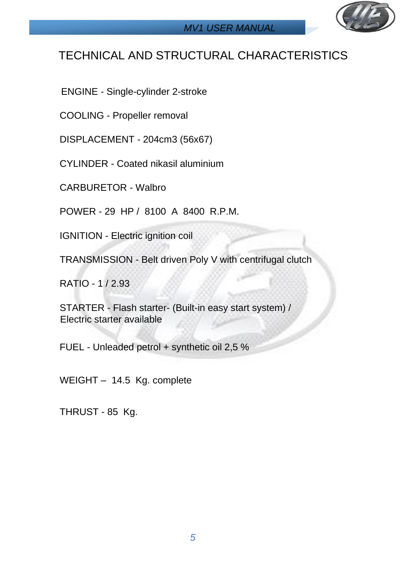

## <span id="page-4-0"></span>TECHNICAL AND STRUCTURAL CHARACTERISTICS

ENGINE - Single-cylinder 2-stroke

COOLING - Propeller removal

DISPLACEMENT - 204cm3 (56x67)

CYLINDER - Coated nikasil aluminium

CARBURETOR - Walbro

POWER - 29 HP / 8100 A 8400 R.P.M.

IGNITION - Electric ignition coil

TRANSMISSION - Belt driven Poly V with centrifugal clutch

RATIO - 1 / 2.93

STARTER - Flash starter- (Built-in easy start system) / Electric starter available

FUEL - Unleaded petrol + synthetic oil 2,5 %

WEIGHT – 14.5 Kg. complete

THRUST - 85 Kg.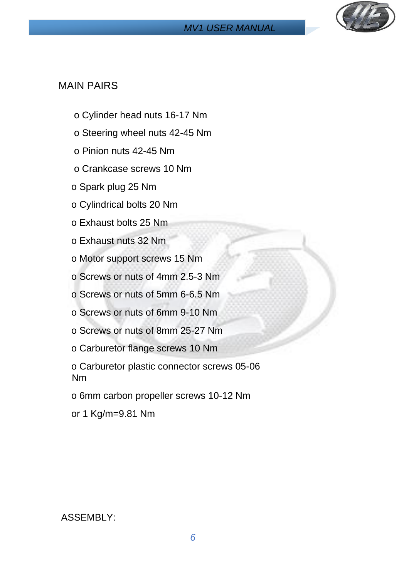

#### <span id="page-5-0"></span>MAIN PAIRS

- o Cylinder head nuts 16-17 Nm
- o Steering wheel nuts 42-45 Nm
- o Pinion nuts 42-45 Nm
- o Crankcase screws 10 Nm
- o Spark plug 25 Nm
- o Cylindrical bolts 20 Nm
- o Exhaust bolts 25 Nm
- o Exhaust nuts 32 Nm
- o Motor support screws 15 Nm
- o Screws or nuts of 4mm 2.5-3 Nm
- o Screws or nuts of 5mm 6-6.5 Nm
- o Screws or nuts of 6mm 9-10 Nm
- o Screws or nuts of 8mm 25-27 Nm
- o Carburetor flange screws 10 Nm
- o Carburetor plastic connector screws 05-06 Nm
- o 6mm carbon propeller screws 10-12 Nm
- or 1 Kg/m=9.81 Nm

<span id="page-5-1"></span>ASSEMBLY: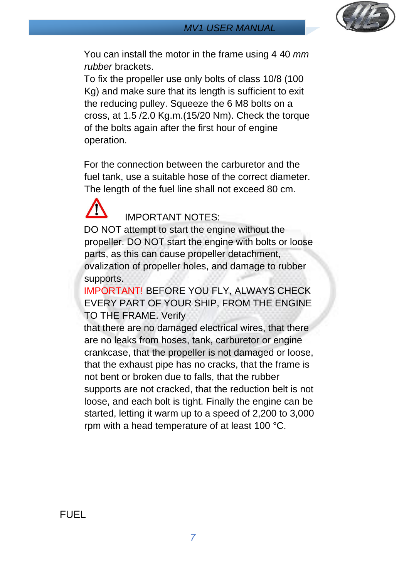

You can install the motor in the frame using 4 40 *mm rubber* brackets.

To fix the propeller use only bolts of class 10/8 (100 Kg) and make sure that its length is sufficient to exit the reducing pulley. Squeeze the 6 M8 bolts on a cross, at 1.5 /2.0 Kg.m.(15/20 Nm). Check the torque of the bolts again after the first hour of engine operation.

For the connection between the carburetor and the fuel tank, use a suitable hose of the correct diameter. The length of the fuel line shall not exceed 80 cm.



IMPORTANT NOTES:

DO NOT attempt to start the engine without the propeller. DO NOT start the engine with bolts or loose parts, as this can cause propeller detachment, ovalization of propeller holes, and damage to rubber supports.

IMPORTANT! BEFORE YOU FLY, ALWAYS CHECK EVERY PART OF YOUR SHIP, FROM THE ENGINE TO THE FRAME. Verify

that there are no damaged electrical wires, that there are no leaks from hoses, tank, carburetor or engine crankcase, that the propeller is not damaged or loose, that the exhaust pipe has no cracks, that the frame is not bent or broken due to falls, that the rubber supports are not cracked, that the reduction belt is not loose, and each bolt is tight. Finally the engine can be started, letting it warm up to a speed of 2,200 to 3,000 rpm with a head temperature of at least 100 °C.

FUEL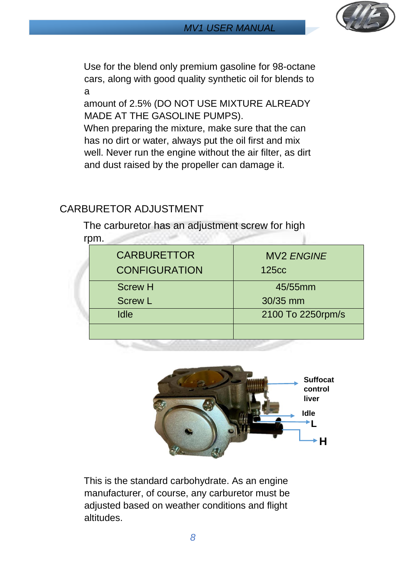

Use for the blend only premium gasoline for 98-octane cars, along with good quality synthetic oil for blends to a

amount of 2.5% (DO NOT USE MIXTURE ALREADY MADE AT THE GASOLINE PUMPS).

When preparing the mixture, make sure that the can has no dirt or water, always put the oil first and mix well. Never run the engine without the air filter, as dirt and dust raised by the propeller can damage it.

#### CARBURETOR ADJUSTMENT

The carburetor has an adjustment screw for high rpm.

| <b>CARBURETTOR</b>   | <b>MV2 ENGINE</b> |
|----------------------|-------------------|
| <b>CONFIGURATION</b> | <b>125cc</b>      |
| <b>Screw H</b>       | 45/55mm           |
| <b>Screw L</b>       | 30/35 mm          |
| <b>Idle</b>          | 2100 To 2250rpm/s |



This is the standard carbohydrate. As an engine manufacturer, of course, any carburetor must be adjusted based on weather conditions and flight altitudes.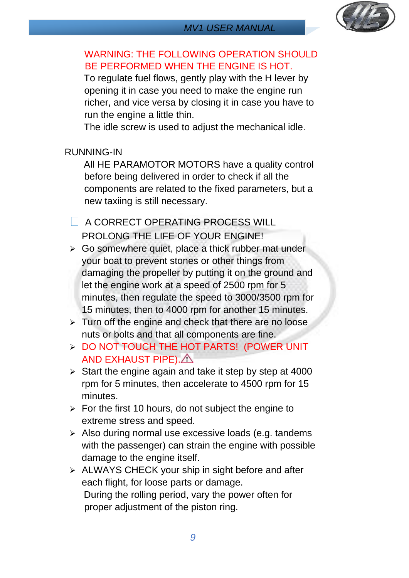

#### WARNING: THE FOLLOWING OPERATION SHOULD BE PERFORMED WHEN THE ENGINE IS HOT.

To regulate fuel flows, gently play with the H lever by opening it in case you need to make the engine run richer, and vice versa by closing it in case you have to run the engine a little thin.

The idle screw is used to adjust the mechanical idle.

<span id="page-8-0"></span>RUNNING-IN

All HE PARAMOTOR MOTORS have a quality control before being delivered in order to check if all the components are related to the fixed parameters, but a new taxiing is still necessary.

**A CORRECT OPERATING PROCESS WILL** PROLONG THE LIFE OF YOUR ENGINE!

- $\triangleright$  Go somewhere quiet, place a thick rubber mat under your boat to prevent stones or other things from damaging the propeller by putting it on the ground and let the engine work at a speed of 2500 rpm for 5 minutes, then regulate the speed to 3000/3500 rpm for 15 minutes, then to 4000 rpm for another 15 minutes.
- ➢ Turn off the engine and check that there are no loose nuts or bolts and that all components are fine.
- ➢ DO NOT TOUCH THE HOT PARTS! (POWER UNIT AND EXHAUST PIPE). A
- $\triangleright$  Start the engine again and take it step by step at 4000 rpm for 5 minutes, then accelerate to 4500 rpm for 15 minutes.
- $\triangleright$  For the first 10 hours, do not subject the engine to extreme stress and speed.
- ➢ Also during normal use excessive loads (e.g. tandems with the passenger) can strain the engine with possible damage to the engine itself.
- ➢ ALWAYS CHECK your ship in sight before and after each flight, for loose parts or damage. During the rolling period, vary the power often for proper adjustment of the piston ring.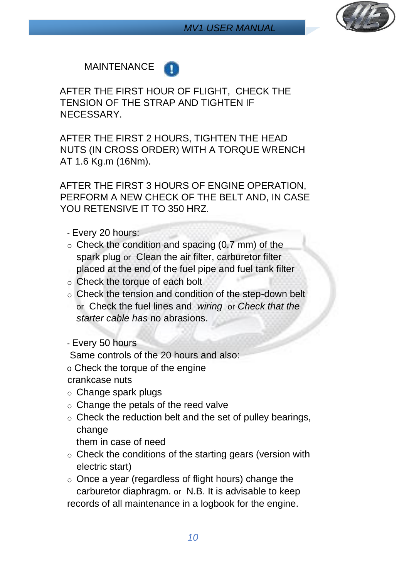

#### <span id="page-9-0"></span>MAINTENANCE



AFTER THE FIRST HOUR OF FLIGHT, CHECK THE TENSION OF THE STRAP AND TIGHTEN IF NECESSARY.

AFTER THE FIRST 2 HOURS, TIGHTEN THE HEAD NUTS (IN CROSS ORDER) WITH A TORQUE WRENCH AT 1.6 Kg.m (16Nm).

AFTER THE FIRST 3 HOURS OF ENGINE OPERATION, PERFORM A NEW CHECK OF THE BELT AND, IN CASE YOU RETENSIVE IT TO 350 HRZ.

#### - Every 20 hours:

- $\circ$  Check the condition and spacing (0.7 mm) of the spark plug or Clean the air filter, carburetor filter placed at the end of the fuel pipe and fuel tank filter
- o Check the torque of each bolt
- o Check the tension and condition of the step-down belt or Check the fuel lines and *wiring* or *Check that the starter cable has* no abrasions.

#### - Every 50 hours

Same controls of the 20 hours and also:

o Check the torque of the engine

crankcase nuts

- o Change spark plugs
- o Change the petals of the reed valve
- $\circ$  Check the reduction belt and the set of pulley bearings, change

them in case of need

o Check the conditions of the starting gears (version with electric start)

 $\circ$  Once a year (regardless of flight hours) change the carburetor diaphragm. or N.B. It is advisable to keep records of all maintenance in a logbook for the engine.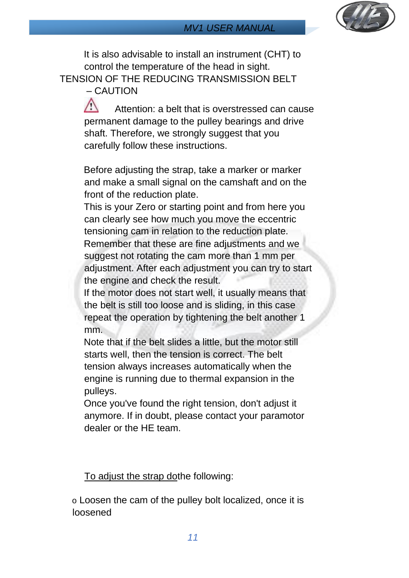

<span id="page-10-0"></span>It is also advisable to install an instrument (CHT) to control the temperature of the head in sight. TENSION OF THE REDUCING TRANSMISSION BELT – CAUTION

> $\sqrt{2}$  Attention: a belt that is overstressed can cause permanent damage to the pulley bearings and drive shaft. Therefore, we strongly suggest that you carefully follow these instructions.

Before adjusting the strap, take a marker or marker and make a small signal on the camshaft and on the front of the reduction plate.

This is your Zero or starting point and from here you can clearly see how much you move the eccentric tensioning cam in relation to the reduction plate. Remember that these are fine adjustments and we suggest not rotating the cam more than 1 mm per adjustment. After each adjustment you can try to start the engine and check the result.

If the motor does not start well, it usually means that the belt is still too loose and is sliding, in this case repeat the operation by tightening the belt another 1 mm.

Note that if the belt slides a little, but the motor still starts well, then the tension is correct. The belt tension always increases automatically when the engine is running due to thermal expansion in the pulleys.

Once you've found the right tension, don't adjust it anymore. If in doubt, please contact your paramotor dealer or the HE team.

To adjust the strap dothe following:

o Loosen the cam of the pulley bolt localized, once it is loosened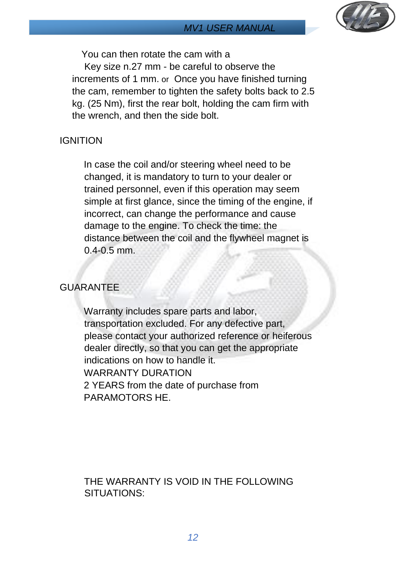

You can then rotate the cam with a

Key size n.27 mm - be careful to observe the increments of 1 mm. or Once you have finished turning the cam, remember to tighten the safety bolts back to 2.5 kg. (25 Nm), first the rear bolt, holding the cam firm with the wrench, and then the side bolt.

#### **IGNITION**

In case the coil and/or steering wheel need to be changed, it is mandatory to turn to your dealer or trained personnel, even if this operation may seem simple at first glance, since the timing of the engine, if incorrect, can change the performance and cause damage to the engine. To check the time: the distance between the coil and the flywheel magnet is 0.4-0.5 mm.

#### <span id="page-11-0"></span>GUARANTEE

Warranty includes spare parts and labor, transportation excluded. For any defective part, please contact your authorized reference or heiferous dealer directly, so that you can get the appropriate indications on how to handle it. WARRANTY DURATION 2 YEARS from the date of purchase from PARAMOTORS HE.

THE WARRANTY IS VOID IN THE FOLLOWING SITUATIONS: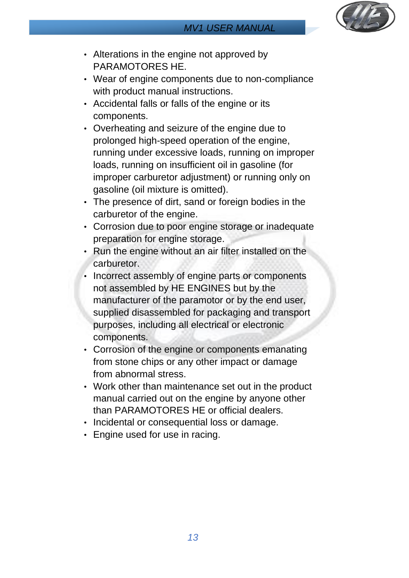

- Alterations in the engine not approved by PARAMOTORES HE.
- Wear of engine components due to non-compliance with product manual instructions.
- Accidental falls or falls of the engine or its components.
- Overheating and seizure of the engine due to prolonged high-speed operation of the engine, running under excessive loads, running on improper loads, running on insufficient oil in gasoline (for improper carburetor adjustment) or running only on gasoline (oil mixture is omitted).
- The presence of dirt, sand or foreign bodies in the carburetor of the engine.
- Corrosion due to poor engine storage or inadequate preparation for engine storage.
- Run the engine without an air filter installed on the carburetor.
- Incorrect assembly of engine parts or components not assembled by HE ENGINES but by the manufacturer of the paramotor or by the end user, supplied disassembled for packaging and transport purposes, including all electrical or electronic components.
- Corrosion of the engine or components emanating from stone chips or any other impact or damage from abnormal stress.
- Work other than maintenance set out in the product manual carried out on the engine by anyone other than PARAMOTORES HE or official dealers.
- Incidental or consequential loss or damage.
- Engine used for use in racing.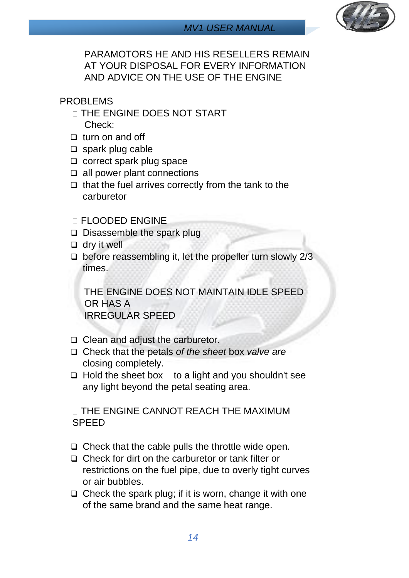

PARAMOTORS HE AND HIS RESELLERS REMAIN AT YOUR DISPOSAL FOR EVERY INFORMATION AND ADVICE ON THE USE OF THE ENGINE

#### <span id="page-13-0"></span>PROBLEMS

- **THE ENGINE DOES NOT START** Check:
- ❑ turn on and off
- ❑ spark plug cable
- ❑ correct spark plug space
- ❑ all power plant connections
- ❑ that the fuel arrives correctly from the tank to the carburetor

#### FLOODED ENGINE

- ❑ Disassemble the spark plug
- ❑ dry it well
- ❑ before reassembling it, let the propeller turn slowly 2/3 times.

THE ENGINE DOES NOT MAINTAIN IDLE SPEED OR HAS A IRREGULAR SPEED

- ❑ Clean and adjust the carburetor.
- ❑ Check that the petals *of the sheet* box *valve are* closing completely.
- ❑ Hold the sheet box to a light and you shouldn't see any light beyond the petal seating area.

**THE ENGINE CANNOT REACH THE MAXIMUM** SPEED

- ❑ Check that the cable pulls the throttle wide open.
- ❑ Check for dirt on the carburetor or tank filter or restrictions on the fuel pipe, due to overly tight curves or air bubbles.
- ❑ Check the spark plug; if it is worn, change it with one of the same brand and the same heat range.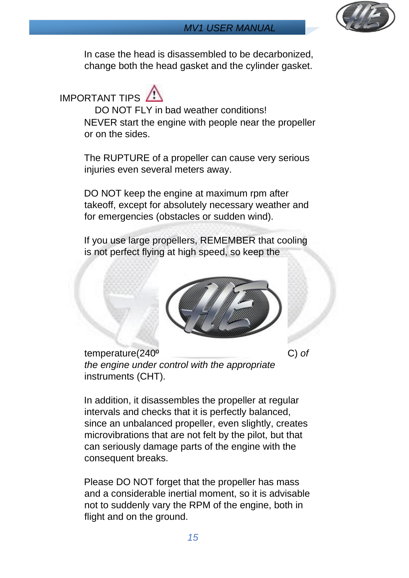

In case the head is disassembled to be decarbonized, change both the head gasket and the cylinder gasket.

# <span id="page-14-0"></span>IMPORTANT TIPS

DO NOT FLY in bad weather conditions! NEVER start the engine with people near the propeller or on the sides.

The RUPTURE of a propeller can cause very serious injuries even several meters away.

DO NOT keep the engine at maximum rpm after takeoff, except for absolutely necessary weather and for emergencies (obstacles or sudden wind).

If you use large propellers, REMEMBER that cooling is not perfect flying at high speed, so keep the



temperature(240º C) *of the engine under control with the appropriate* instruments (CHT).

In addition, it disassembles the propeller at regular intervals and checks that it is perfectly balanced, since an unbalanced propeller, even slightly, creates microvibrations that are not felt by the pilot, but that can seriously damage parts of the engine with the consequent breaks.

Please DO NOT forget that the propeller has mass and a considerable inertial moment, so it is advisable not to suddenly vary the RPM of the engine, both in flight and on the ground.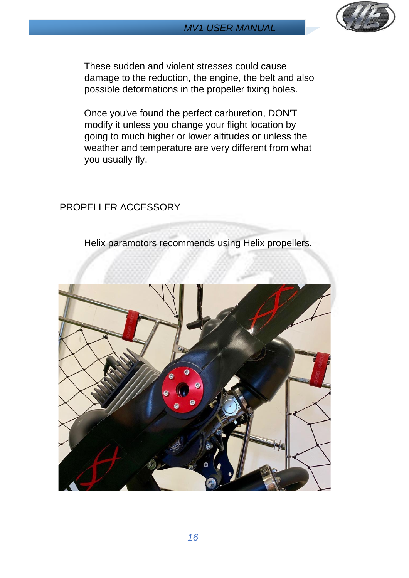



These sudden and violent stresses could cause damage to the reduction, the engine, the belt and also possible deformations in the propeller fixing holes.

Once you've found the perfect carburetion, DON'T modify it unless you change your flight location by going to much higher or lower altitudes or unless the weather and temperature are very different from what you usually fly.

#### <span id="page-15-0"></span>PROPELLER ACCESSORY

Helix paramotors recommends using Helix propellers.

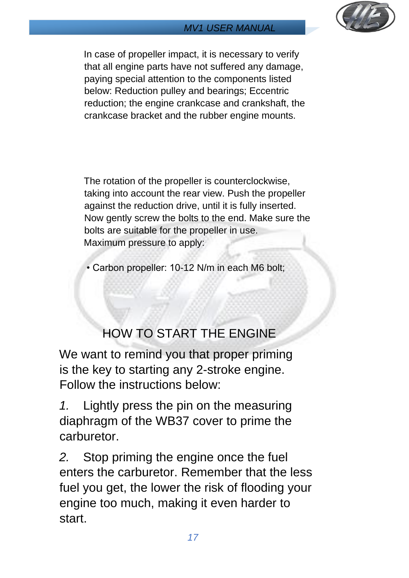

In case of propeller impact, it is necessary to verify that all engine parts have not suffered any damage, paying special attention to the components listed below: Reduction pulley and bearings; Eccentric reduction; the engine crankcase and crankshaft, the crankcase bracket and the rubber engine mounts.

The rotation of the propeller is counterclockwise, taking into account the rear view. Push the propeller against the reduction drive, until it is fully inserted. Now gently screw the bolts to the end. Make sure the bolts are suitable for the propeller in use. Maximum pressure to apply:

• Carbon propeller: 10-12 N/m in each M6 bolt;

## HOW TO START THE ENGINE

<span id="page-16-0"></span>We want to remind you that proper priming is the key to starting any 2-stroke engine. Follow the instructions below:

*1.* Lightly press the pin on the measuring diaphragm of the WB37 cover to prime the carburetor.

*2.* Stop priming the engine once the fuel enters the carburetor. Remember that the less fuel you get, the lower the risk of flooding your engine too much, making it even harder to start.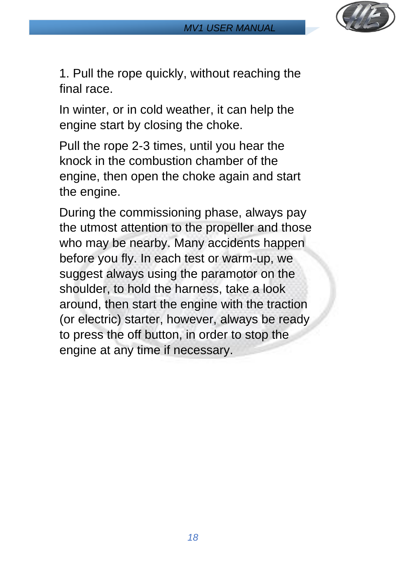

1. Pull the rope quickly, without reaching the final race.

In winter, or in cold weather, it can help the engine start by closing the choke.

Pull the rope 2-3 times, until you hear the knock in the combustion chamber of the engine, then open the choke again and start the engine.

During the commissioning phase, always pay the utmost attention to the propeller and those who may be nearby. Many accidents happen before you fly. In each test or warm-up, we suggest always using the paramotor on the shoulder, to hold the harness, take a look around, then start the engine with the traction (or electric) starter, however, always be ready to press the off button, in order to stop the engine at any time if necessary.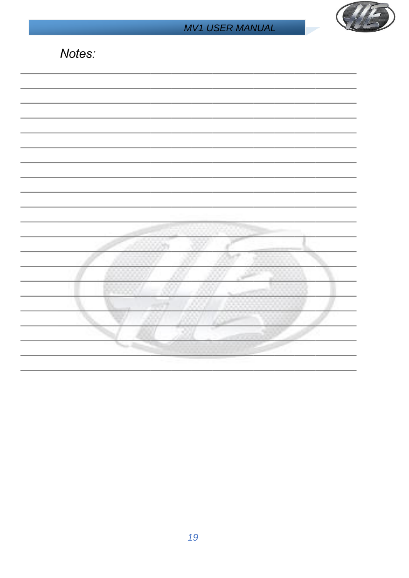

| Notes: |
|--------|
|--------|